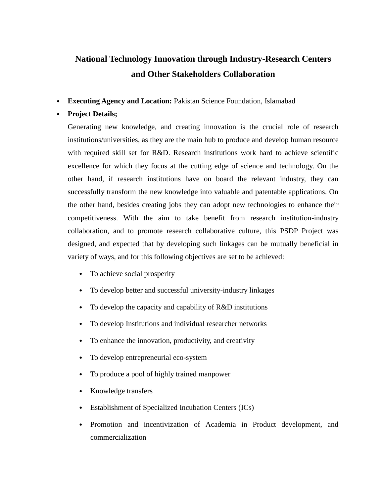## **National Technology Innovation through Industry-Research Centers and Other Stakeholders Collaboration**

• **Executing Agency and Location:** Pakistan Science Foundation, Islamabad

## • **Project Details;**

Generating new knowledge, and creating innovation is the crucial role of research institutions/universities, as they are the main hub to produce and develop human resource with required skill set for R&D. Research institutions work hard to achieve scientific excellence for which they focus at the cutting edge of science and technology. On the other hand, if research institutions have on board the relevant industry, they can successfully transform the new knowledge into valuable and patentable applications. On the other hand, besides creating jobs they can adopt new technologies to enhance their competitiveness. With the aim to take benefit from research institution-industry collaboration, and to promote research collaborative culture, this PSDP Project was designed, and expected that by developing such linkages can be mutually beneficial in variety of ways, and for this following objectives are set to be achieved:

- To achieve social prosperity
- To develop better and successful university-industry linkages
- To develop the capacity and capability of R&D institutions
- To develop Institutions and individual researcher networks
- To enhance the innovation, productivity, and creativity
- To develop entrepreneurial eco-system
- To produce a pool of highly trained manpower
- Knowledge transfers
- Establishment of Specialized Incubation Centers (ICs)
- Promotion and incentivization of Academia in Product development, and commercialization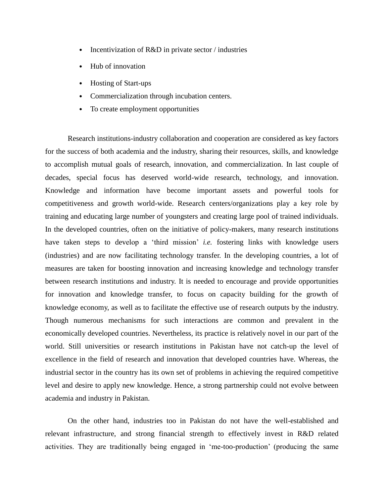- Incentivization of R&D in private sector / industries
- Hub of innovation
- Hosting of Start-ups
- Commercialization through incubation centers.
- To create employment opportunities

Research institutions-industry collaboration and cooperation are considered as key factors for the success of both academia and the industry, sharing their resources, skills, and knowledge to accomplish mutual goals of research, innovation, and commercialization. In last couple of decades, special focus has deserved world-wide research, technology, and innovation. Knowledge and information have become important assets and powerful tools for competitiveness and growth world-wide. Research centers/organizations play a key role by training and educating large number of youngsters and creating large pool of trained individuals. In the developed countries, often on the initiative of policy-makers, many research institutions have taken steps to develop a 'third mission' *i.e.* fostering links with knowledge users (industries) and are now facilitating technology transfer. In the developing countries, a lot of measures are taken for boosting innovation and increasing knowledge and technology transfer between research institutions and industry. It is needed to encourage and provide opportunities for innovation and knowledge transfer, to focus on capacity building for the growth of knowledge economy, as well as to facilitate the effective use of research outputs by the industry. Though numerous mechanisms for such interactions are common and prevalent in the economically developed countries. Nevertheless, its practice is relatively novel in our part of the world. Still universities or research institutions in Pakistan have not catch-up the level of excellence in the field of research and innovation that developed countries have. Whereas, the industrial sector in the country has its own set of problems in achieving the required competitive level and desire to apply new knowledge. Hence, a strong partnership could not evolve between academia and industry in Pakistan.

On the other hand, industries too in Pakistan do not have the well-established and relevant infrastructure, and strong financial strength to effectively invest in R&D related activities. They are traditionally being engaged in 'me-too-production' (producing the same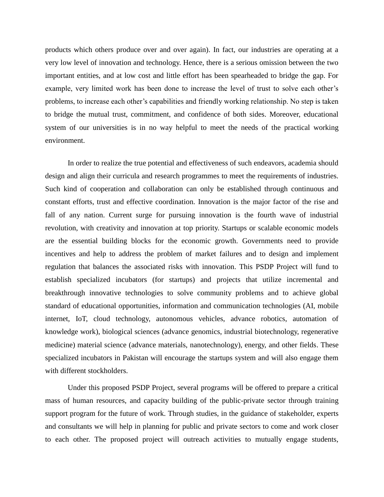products which others produce over and over again). In fact, our industries are operating at a very low level of innovation and technology. Hence, there is a serious omission between the two important entities, and at low cost and little effort has been spearheaded to bridge the gap. For example, very limited work has been done to increase the level of trust to solve each other's problems, to increase each other's capabilities and friendly working relationship. No step is taken to bridge the mutual trust, commitment, and confidence of both sides. Moreover, educational system of our universities is in no way helpful to meet the needs of the practical working environment.

In order to realize the true potential and effectiveness of such endeavors, academia should design and align their curricula and research programmes to meet the requirements of industries. Such kind of cooperation and collaboration can only be established through continuous and constant efforts, trust and effective coordination. Innovation is the major factor of the rise and fall of any nation. Current surge for pursuing innovation is the fourth wave of industrial revolution, with creativity and innovation at top priority. Startups or scalable economic models are the essential building blocks for the economic growth. Governments need to provide incentives and help to address the problem of market failures and to design and implement regulation that balances the associated risks with innovation. This PSDP Project will fund to establish specialized incubators (for startups) and projects that utilize incremental and breakthrough innovative technologies to solve community problems and to achieve global standard of educational opportunities, information and communication technologies (AI, mobile internet, IoT, cloud technology, autonomous vehicles, advance robotics, automation of knowledge work), biological sciences (advance genomics, industrial biotechnology, regenerative medicine) material science (advance materials, nanotechnology), energy, and other fields. These specialized incubators in Pakistan will encourage the startups system and will also engage them with different stockholders.

Under this proposed PSDP Project, several programs will be offered to prepare a critical mass of human resources, and capacity building of the public-private sector through training support program for the future of work. Through studies, in the guidance of stakeholder, experts and consultants we will help in planning for public and private sectors to come and work closer to each other. The proposed project will outreach activities to mutually engage students,